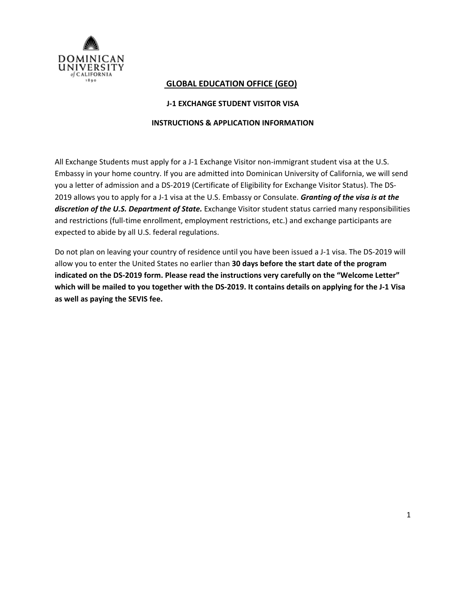

# **GLOBAL EDUCATION OFFICE (GEO)**

# **J‐1 EXCHANGE STUDENT VISITOR VISA**

## **INSTRUCTIONS & APPLICATION INFORMATION**

All Exchange Students must apply for a J-1 Exchange Visitor non-immigrant student visa at the U.S. Embassy in your home country. If you are admitted into Dominican University of California, we will send you a letter of admission and a DS‐2019 (Certificate of Eligibility for Exchange Visitor Status). The DS‐ 2019 allows you to apply for a J‐1 visa at the U.S. Embassy or Consulate. *Granting of the visa is at the discretion of the U.S. Department of State.* Exchange Visitor student status carried many responsibilities and restrictions (full‐time enrollment, employment restrictions, etc.) and exchange participants are expected to abide by all U.S. federal regulations.

Do not plan on leaving your country of residence until you have been issued a J-1 visa. The DS-2019 will allow you to enter the United States no earlier than **30 days before the start date of the program indicated on the DS‐2019 form. Please read the instructions very carefully on the "Welcome Letter"** which will be mailed to you together with the DS-2019. It contains details on applying for the J-1 Visa **as well as paying the SEVIS fee.**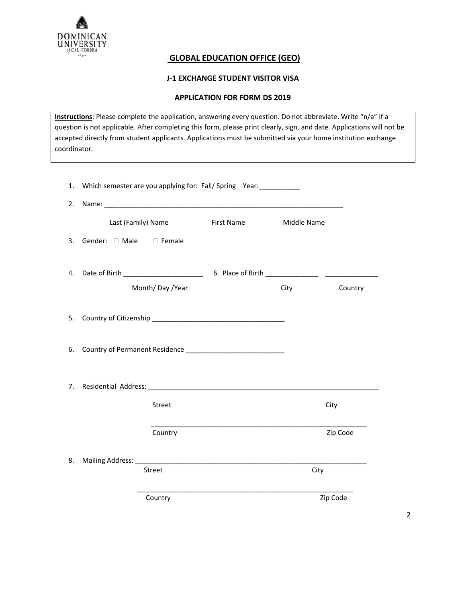

# **GLOBAL EDUCATION OFFICE (GEO)**

# **J‐1 EXCHANGE STUDENT VISITOR VISA**

## **APPLICATION FOR FORM DS 2019**

**Instructions**: Please complete the application, answering every question. Do not abbreviate. Write "n/a" if a question is not applicable. After completing this form, please print clearly, sign, and date. Applications will not be accepted directly from student applicants. Applications must be submitted via your home institution exchange coordinator.

| 1. Which semester are you applying for: Fall/ Spring Year: |      |          |  |
|------------------------------------------------------------|------|----------|--|
|                                                            |      |          |  |
| Last (Family) Name First Name Middle Name                  |      |          |  |
| 3. Gender: Male Female                                     |      |          |  |
| Month/Day/Year                                             | City | Country  |  |
|                                                            |      |          |  |
|                                                            |      |          |  |
|                                                            |      |          |  |
|                                                            |      |          |  |
| Street                                                     |      | City     |  |
| Country                                                    |      | Zip Code |  |
|                                                            |      |          |  |
| <b>Street</b>                                              | City |          |  |
| Country                                                    |      | Zip Code |  |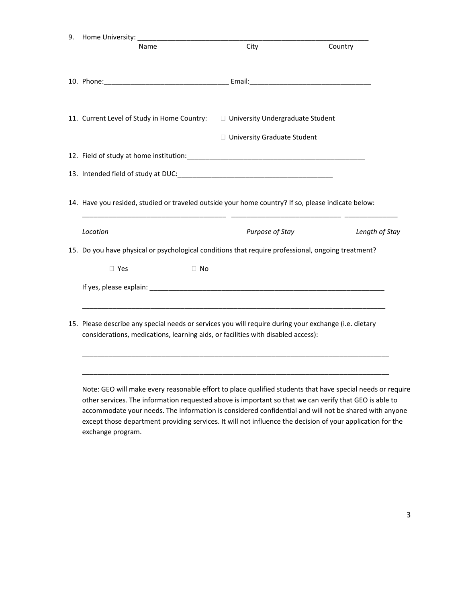| <b>Name</b>                                                                                                                                                                               | City                          | Country        |
|-------------------------------------------------------------------------------------------------------------------------------------------------------------------------------------------|-------------------------------|----------------|
|                                                                                                                                                                                           |                               |                |
|                                                                                                                                                                                           |                               |                |
| 11. Current Level of Study in Home Country:<br>$\square$ University Undergraduate Student                                                                                                 |                               |                |
|                                                                                                                                                                                           | □ University Graduate Student |                |
|                                                                                                                                                                                           |                               |                |
|                                                                                                                                                                                           |                               |                |
| 14. Have you resided, studied or traveled outside your home country? If so, please indicate below:                                                                                        |                               |                |
| Location                                                                                                                                                                                  | Purpose of Stay               | Length of Stay |
|                                                                                                                                                                                           |                               |                |
| 15. Do you have physical or psychological conditions that require professional, ongoing treatment?                                                                                        |                               |                |
| $\Box$ Yes<br>$\Box$ No                                                                                                                                                                   |                               |                |
|                                                                                                                                                                                           |                               |                |
| 15. Please describe any special needs or services you will require during your exchange (i.e. dietary<br>considerations, medications, learning aids, or facilities with disabled access): |                               |                |
|                                                                                                                                                                                           |                               |                |

accommodate your needs. The information is considered confidential and will not be shared with anyone except those department providing services. It will not influence the decision of your application for the exchange program.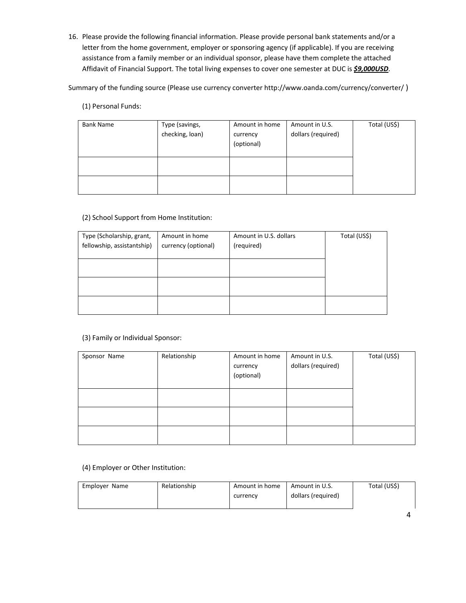16. Please provide the following financial information. Please provide personal bank statements and/or a letter from the home government, employer or sponsoring agency (if applicable). If you are receiving assistance from a family member or an individual sponsor, please have them complete the attached Affidavit of Financial Support. The total living expenses to cover one semester at DUC is *\$9,000USD*.

Summary of the funding source (Please use currency converter http://www.oanda.com/currency/converter/ )

#### (1) Personal Funds:

| <b>Bank Name</b> | Type (savings,<br>checking, loan) | Amount in home<br>currency<br>(optional) | Amount in U.S.<br>dollars (required) | Total (US\$) |
|------------------|-----------------------------------|------------------------------------------|--------------------------------------|--------------|
|                  |                                   |                                          |                                      |              |

### (2) School Support from Home Institution:

| Type (Scholarship, grant,<br>fellowship, assistantship) | Amount in home<br>currency (optional) | Amount in U.S. dollars<br>(required) | Total (US\$) |
|---------------------------------------------------------|---------------------------------------|--------------------------------------|--------------|
|                                                         |                                       |                                      |              |
|                                                         |                                       |                                      |              |
|                                                         |                                       |                                      |              |
|                                                         |                                       |                                      |              |

#### (3) Family or Individual Sponsor:

| Sponsor Name | Relationship | Amount in home<br>currency<br>(optional) | Amount in U.S.<br>dollars (required) | Total (US\$) |
|--------------|--------------|------------------------------------------|--------------------------------------|--------------|
|              |              |                                          |                                      |              |
|              |              |                                          |                                      |              |
|              |              |                                          |                                      |              |

#### (4) Employer or Other Institution:

| Employer Name | Relationship | Amount in home | Amount in U.S.     | Total (US\$) |
|---------------|--------------|----------------|--------------------|--------------|
|               |              | currency       | dollars (required) |              |
|               |              |                |                    |              |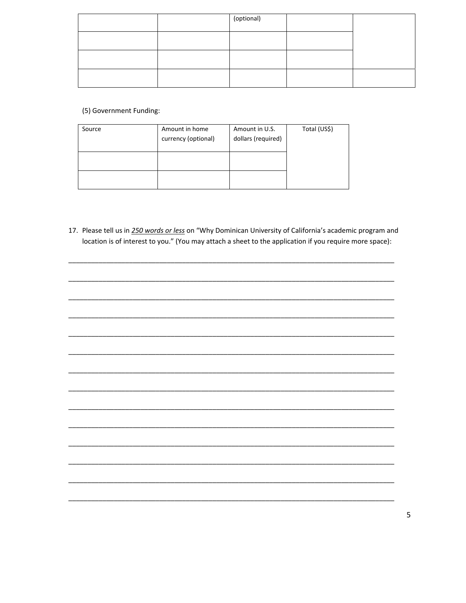|  | (optional) |  |
|--|------------|--|
|  |            |  |
|  |            |  |
|  |            |  |

(5) Government Funding:

| Source | Amount in home<br>currency (optional) | Amount in U.S.<br>dollars (required) | Total (US\$) |
|--------|---------------------------------------|--------------------------------------|--------------|
|        |                                       |                                      |              |
|        |                                       |                                      |              |

17. Please tell us in 250 words or less on "Why Dominican University of California's academic program and location is of interest to you." (You may attach a sheet to the application if you require more space):

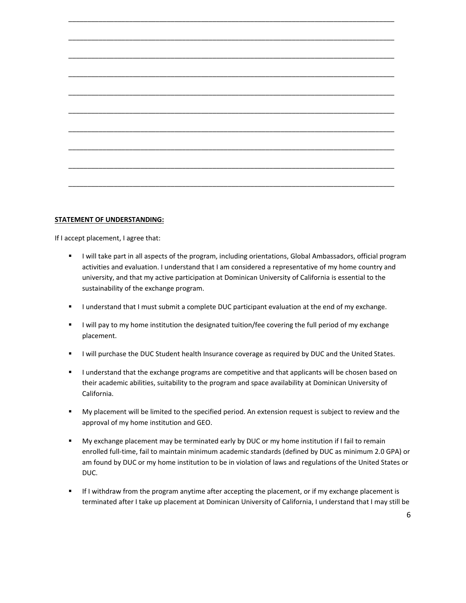\_\_\_\_\_\_\_\_\_\_\_\_\_\_\_\_\_\_\_\_\_\_\_\_\_\_\_\_\_\_\_\_\_\_\_\_\_\_\_\_\_\_\_\_\_\_\_\_\_\_\_\_\_\_\_\_\_\_\_\_\_\_\_\_\_\_\_\_\_\_\_\_\_\_\_\_\_\_\_\_\_\_\_\_\_\_

#### **STATEMENT OF UNDERSTANDING:**

If I accept placement, I agree that:

- " I will take part in all aspects of the program, including orientations, Global Ambassadors, official program activities and evaluation. I understand that I am considered a representative of my home country and university, and that my active participation at Dominican University of California is essential to the sustainability of the exchange program.
- I understand that I must submit a complete DUC participant evaluation at the end of my exchange.
- "I will pay to my home institution the designated tuition/fee covering the full period of my exchange placement.
- **I** I will purchase the DUC Student health Insurance coverage as required by DUC and the United States.
- "I understand that the exchange programs are competitive and that applicants will be chosen based on their academic abilities, suitability to the program and space availability at Dominican University of California.
- My placement will be limited to the specified period. An extension request is subject to review and the approval of my home institution and GEO.
- My exchange placement may be terminated early by DUC or my home institution if I fail to remain enrolled full‐time, fail to maintain minimum academic standards (defined by DUC as minimum 2.0 GPA) or am found by DUC or my home institution to be in violation of laws and regulations of the United States or DUC.
- If I withdraw from the program anytime after accepting the placement, or if my exchange placement is terminated after I take up placement at Dominican University of California, I understand that I may still be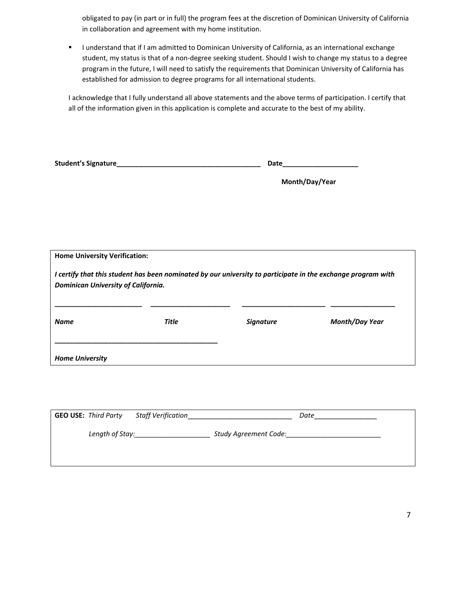obligated to pay (in part or in full) the program fees at the discretion of Dominican University of California in collaboration and agreement with my home institution.

I understand that if I am admitted to Dominican University of California, as an international exchange student, my status is that of a non‐degree seeking student. Should I wish to change my status to a degree program in the future, I will need to satisfy the requirements that Dominican University of California has established for admission to degree programs for all international students.

I acknowledge that I fully understand all above statements and the above terms of participation. I certify that all of the information given in this application is complete and accurate to the best of my ability.

|                                                                                                              |              | Month/Day/Year   |                       |
|--------------------------------------------------------------------------------------------------------------|--------------|------------------|-----------------------|
|                                                                                                              |              |                  |                       |
|                                                                                                              |              |                  |                       |
|                                                                                                              |              |                  |                       |
|                                                                                                              |              |                  |                       |
| <b>Home University Verification:</b>                                                                         |              |                  |                       |
| I certify that this student has been nominated by our university to participate in the exchange program with |              |                  |                       |
| Dominican University of California.                                                                          |              |                  |                       |
|                                                                                                              |              |                  |                       |
| <b>Name</b>                                                                                                  | <b>Title</b> | <b>Signature</b> | <b>Month/Day Year</b> |
|                                                                                                              |              |                  |                       |
| <b>Home University</b>                                                                                       |              |                  |                       |
|                                                                                                              |              |                  |                       |

| <b>GEO USE: Third Party</b> |                 | Staff Verification |                              | Date |  |
|-----------------------------|-----------------|--------------------|------------------------------|------|--|
|                             | Length of Stay: |                    | <b>Study Agreement Code:</b> |      |  |
|                             |                 |                    |                              |      |  |